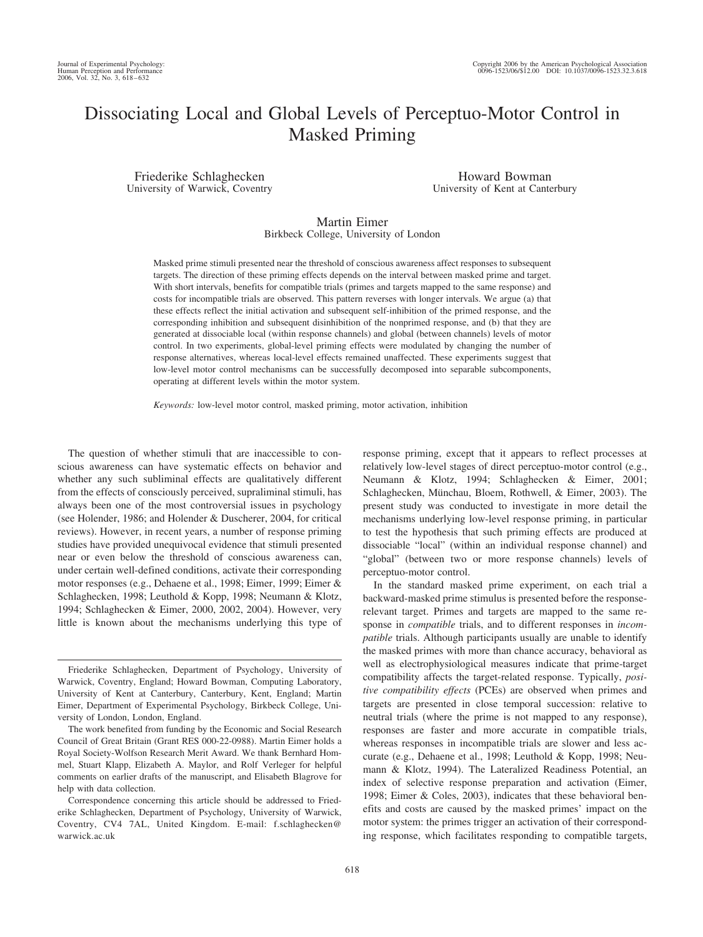# Dissociating Local and Global Levels of Perceptuo-Motor Control in Masked Priming

Friederike Schlaghecken University of Warwick, Coventry

Howard Bowman University of Kent at Canterbury

# Martin Eimer Birkbeck College, University of London

Masked prime stimuli presented near the threshold of conscious awareness affect responses to subsequent targets. The direction of these priming effects depends on the interval between masked prime and target. With short intervals, benefits for compatible trials (primes and targets mapped to the same response) and costs for incompatible trials are observed. This pattern reverses with longer intervals. We argue (a) that these effects reflect the initial activation and subsequent self-inhibition of the primed response, and the corresponding inhibition and subsequent disinhibition of the nonprimed response, and (b) that they are generated at dissociable local (within response channels) and global (between channels) levels of motor control. In two experiments, global-level priming effects were modulated by changing the number of response alternatives, whereas local-level effects remained unaffected. These experiments suggest that low-level motor control mechanisms can be successfully decomposed into separable subcomponents, operating at different levels within the motor system.

*Keywords:* low-level motor control, masked priming, motor activation, inhibition

The question of whether stimuli that are inaccessible to conscious awareness can have systematic effects on behavior and whether any such subliminal effects are qualitatively different from the effects of consciously perceived, supraliminal stimuli, has always been one of the most controversial issues in psychology (see Holender, 1986; and Holender & Duscherer, 2004, for critical reviews). However, in recent years, a number of response priming studies have provided unequivocal evidence that stimuli presented near or even below the threshold of conscious awareness can, under certain well-defined conditions, activate their corresponding motor responses (e.g., Dehaene et al., 1998; Eimer, 1999; Eimer & Schlaghecken, 1998; Leuthold & Kopp, 1998; Neumann & Klotz, 1994; Schlaghecken & Eimer, 2000, 2002, 2004). However, very little is known about the mechanisms underlying this type of response priming, except that it appears to reflect processes at relatively low-level stages of direct perceptuo-motor control (e.g., Neumann & Klotz, 1994; Schlaghecken & Eimer, 2001; Schlaghecken, Münchau, Bloem, Rothwell, & Eimer, 2003). The present study was conducted to investigate in more detail the mechanisms underlying low-level response priming, in particular to test the hypothesis that such priming effects are produced at dissociable "local" (within an individual response channel) and "global" (between two or more response channels) levels of perceptuo-motor control.

In the standard masked prime experiment, on each trial a backward-masked prime stimulus is presented before the responserelevant target. Primes and targets are mapped to the same response in *compatible* trials, and to different responses in *incompatible* trials. Although participants usually are unable to identify the masked primes with more than chance accuracy, behavioral as well as electrophysiological measures indicate that prime-target compatibility affects the target-related response. Typically, *positive compatibility effects* (PCEs) are observed when primes and targets are presented in close temporal succession: relative to neutral trials (where the prime is not mapped to any response), responses are faster and more accurate in compatible trials, whereas responses in incompatible trials are slower and less accurate (e.g., Dehaene et al., 1998; Leuthold & Kopp, 1998; Neumann & Klotz, 1994). The Lateralized Readiness Potential, an index of selective response preparation and activation (Eimer, 1998; Eimer & Coles, 2003), indicates that these behavioral benefits and costs are caused by the masked primes' impact on the motor system: the primes trigger an activation of their corresponding response, which facilitates responding to compatible targets,

Friederike Schlaghecken, Department of Psychology, University of Warwick, Coventry, England; Howard Bowman, Computing Laboratory, University of Kent at Canterbury, Canterbury, Kent, England; Martin Eimer, Department of Experimental Psychology, Birkbeck College, University of London, London, England.

The work benefited from funding by the Economic and Social Research Council of Great Britain (Grant RES 000-22-0988). Martin Eimer holds a Royal Society-Wolfson Research Merit Award. We thank Bernhard Hommel, Stuart Klapp, Elizabeth A. Maylor, and Rolf Verleger for helpful comments on earlier drafts of the manuscript, and Elisabeth Blagrove for help with data collection.

Correspondence concerning this article should be addressed to Friederike Schlaghecken, Department of Psychology, University of Warwick, Coventry, CV4 7AL, United Kingdom. E-mail: f.schlaghecken@ warwick.ac.uk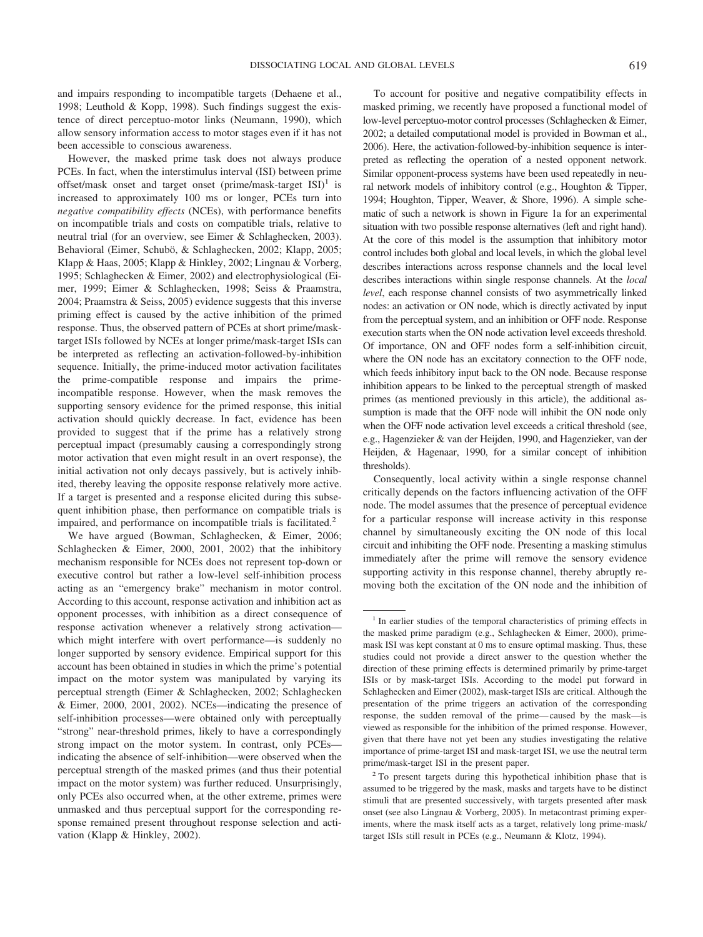and impairs responding to incompatible targets (Dehaene et al., 1998; Leuthold & Kopp, 1998). Such findings suggest the existence of direct perceptuo-motor links (Neumann, 1990), which allow sensory information access to motor stages even if it has not been accessible to conscious awareness.

However, the masked prime task does not always produce PCEs. In fact, when the interstimulus interval (ISI) between prime offset/mask onset and target onset (prime/mask-target  $ISI$ )<sup>1</sup> is increased to approximately 100 ms or longer, PCEs turn into *negative compatibility effects* (NCEs), with performance benefits on incompatible trials and costs on compatible trials, relative to neutral trial (for an overview, see Eimer & Schlaghecken, 2003). Behavioral (Eimer, Schubö, & Schlaghecken, 2002; Klapp, 2005; Klapp & Haas, 2005; Klapp & Hinkley, 2002; Lingnau & Vorberg, 1995; Schlaghecken & Eimer, 2002) and electrophysiological (Eimer, 1999; Eimer & Schlaghecken, 1998; Seiss & Praamstra, 2004; Praamstra & Seiss, 2005) evidence suggests that this inverse priming effect is caused by the active inhibition of the primed response. Thus, the observed pattern of PCEs at short prime/masktarget ISIs followed by NCEs at longer prime/mask-target ISIs can be interpreted as reflecting an activation-followed-by-inhibition sequence. Initially, the prime-induced motor activation facilitates the prime-compatible response and impairs the primeincompatible response. However, when the mask removes the supporting sensory evidence for the primed response, this initial activation should quickly decrease. In fact, evidence has been provided to suggest that if the prime has a relatively strong perceptual impact (presumably causing a correspondingly strong motor activation that even might result in an overt response), the initial activation not only decays passively, but is actively inhibited, thereby leaving the opposite response relatively more active. If a target is presented and a response elicited during this subsequent inhibition phase, then performance on compatible trials is impaired, and performance on incompatible trials is facilitated.<sup>2</sup>

We have argued (Bowman, Schlaghecken, & Eimer, 2006; Schlaghecken & Eimer, 2000, 2001, 2002) that the inhibitory mechanism responsible for NCEs does not represent top-down or executive control but rather a low-level self-inhibition process acting as an "emergency brake" mechanism in motor control. According to this account, response activation and inhibition act as opponent processes, with inhibition as a direct consequence of response activation whenever a relatively strong activation which might interfere with overt performance—is suddenly no longer supported by sensory evidence. Empirical support for this account has been obtained in studies in which the prime's potential impact on the motor system was manipulated by varying its perceptual strength (Eimer & Schlaghecken, 2002; Schlaghecken & Eimer, 2000, 2001, 2002). NCEs—indicating the presence of self-inhibition processes—were obtained only with perceptually "strong" near-threshold primes, likely to have a correspondingly strong impact on the motor system. In contrast, only PCEs indicating the absence of self-inhibition—were observed when the perceptual strength of the masked primes (and thus their potential impact on the motor system) was further reduced. Unsurprisingly, only PCEs also occurred when, at the other extreme, primes were unmasked and thus perceptual support for the corresponding response remained present throughout response selection and activation (Klapp & Hinkley, 2002).

To account for positive and negative compatibility effects in masked priming, we recently have proposed a functional model of low-level perceptuo-motor control processes (Schlaghecken & Eimer, 2002; a detailed computational model is provided in Bowman et al., 2006). Here, the activation-followed-by-inhibition sequence is interpreted as reflecting the operation of a nested opponent network. Similar opponent-process systems have been used repeatedly in neural network models of inhibitory control (e.g., Houghton & Tipper, 1994; Houghton, Tipper, Weaver, & Shore, 1996). A simple schematic of such a network is shown in Figure 1a for an experimental situation with two possible response alternatives (left and right hand). At the core of this model is the assumption that inhibitory motor control includes both global and local levels, in which the global level describes interactions across response channels and the local level describes interactions within single response channels. At the *local level*, each response channel consists of two asymmetrically linked nodes: an activation or ON node, which is directly activated by input from the perceptual system, and an inhibition or OFF node. Response execution starts when the ON node activation level exceeds threshold. Of importance, ON and OFF nodes form a self-inhibition circuit, where the ON node has an excitatory connection to the OFF node, which feeds inhibitory input back to the ON node. Because response inhibition appears to be linked to the perceptual strength of masked primes (as mentioned previously in this article), the additional assumption is made that the OFF node will inhibit the ON node only when the OFF node activation level exceeds a critical threshold (see, e.g., Hagenzieker & van der Heijden, 1990, and Hagenzieker, van der Heijden, & Hagenaar, 1990, for a similar concept of inhibition thresholds).

Consequently, local activity within a single response channel critically depends on the factors influencing activation of the OFF node. The model assumes that the presence of perceptual evidence for a particular response will increase activity in this response channel by simultaneously exciting the ON node of this local circuit and inhibiting the OFF node. Presenting a masking stimulus immediately after the prime will remove the sensory evidence supporting activity in this response channel, thereby abruptly removing both the excitation of the ON node and the inhibition of

<sup>&</sup>lt;sup>1</sup> In earlier studies of the temporal characteristics of priming effects in the masked prime paradigm (e.g., Schlaghecken & Eimer, 2000), primemask ISI was kept constant at 0 ms to ensure optimal masking. Thus, these studies could not provide a direct answer to the question whether the direction of these priming effects is determined primarily by prime-target ISIs or by mask-target ISIs. According to the model put forward in Schlaghecken and Eimer (2002), mask-target ISIs are critical. Although the presentation of the prime triggers an activation of the corresponding response, the sudden removal of the prime— caused by the mask—is viewed as responsible for the inhibition of the primed response. However, given that there have not yet been any studies investigating the relative importance of prime-target ISI and mask-target ISI, we use the neutral term prime/mask-target ISI in the present paper.

<sup>&</sup>lt;sup>2</sup> To present targets during this hypothetical inhibition phase that is assumed to be triggered by the mask, masks and targets have to be distinct stimuli that are presented successively, with targets presented after mask onset (see also Lingnau & Vorberg, 2005). In metacontrast priming experiments, where the mask itself acts as a target, relatively long prime-mask/ target ISIs still result in PCEs (e.g., Neumann & Klotz, 1994).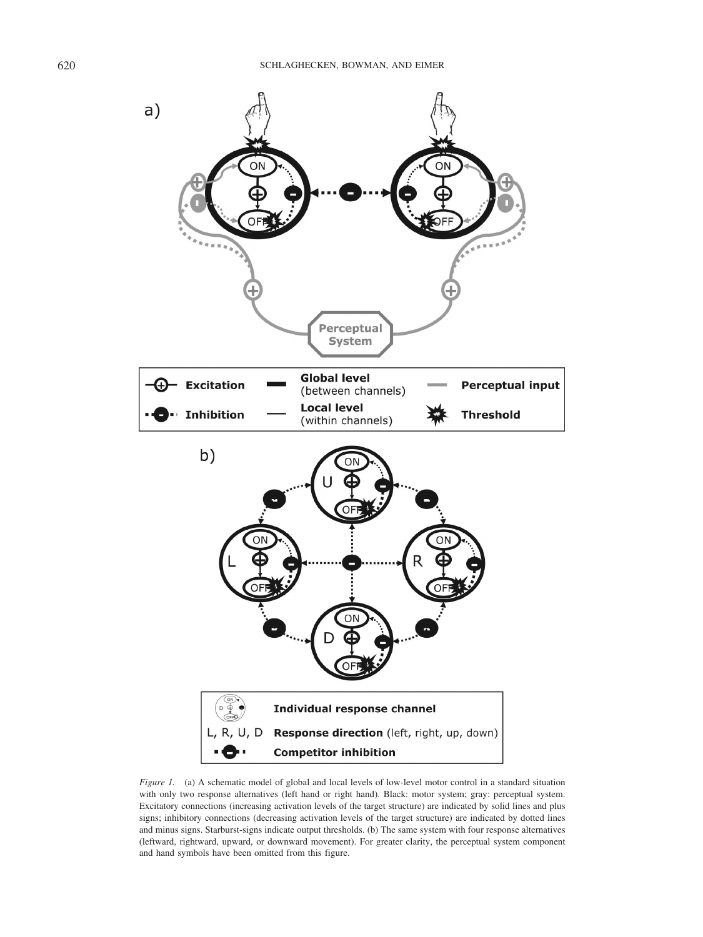

*Figure 1.* (a) A schematic model of global and local levels of low-level motor control in a standard situation with only two response alternatives (left hand or right hand). Black: motor system; gray: perceptual system. Excitatory connections (increasing activation levels of the target structure) are indicated by solid lines and plus signs; inhibitory connections (decreasing activation levels of the target structure) are indicated by dotted lines and minus signs. Starburst-signs indicate output thresholds. (b) The same system with four response alternatives (leftward, rightward, upward, or downward movement). For greater clarity, the perceptual system component and hand symbols have been omitted from this figure.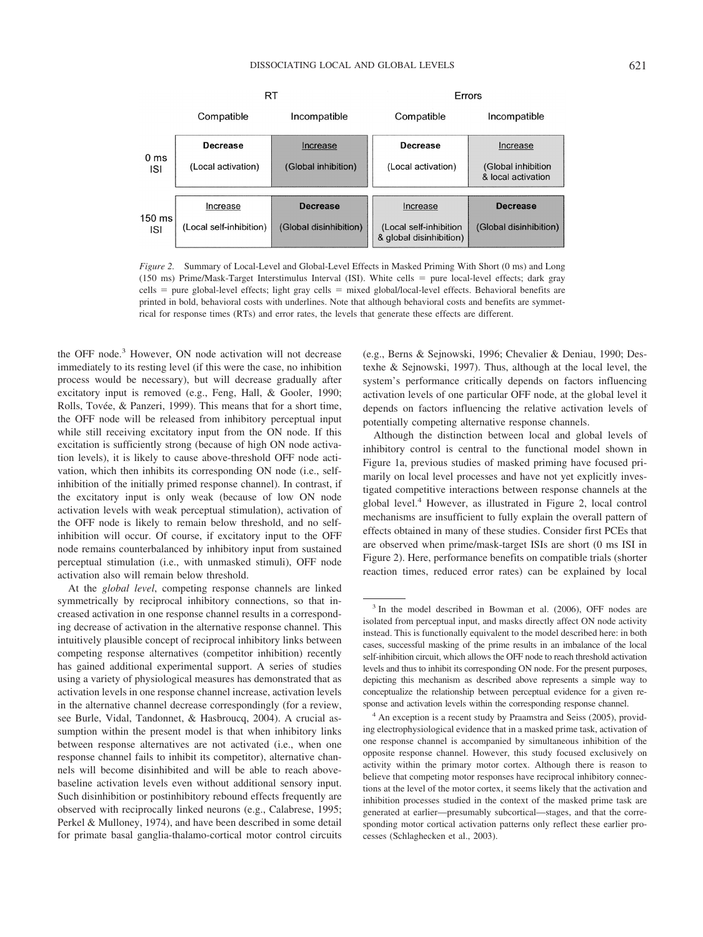

*Figure 2.* Summary of Local-Level and Global-Level Effects in Masked Priming With Short (0 ms) and Long (150 ms) Prime/Mask-Target Interstimulus Interval (ISI). White cells  $=$  pure local-level effects; dark gray cells  $=$  pure global-level effects; light gray cells  $=$  mixed global/local-level effects. Behavioral benefits are printed in bold, behavioral costs with underlines. Note that although behavioral costs and benefits are symmetrical for response times (RTs) and error rates, the levels that generate these effects are different.

the OFF node.<sup>3</sup> However, ON node activation will not decrease immediately to its resting level (if this were the case, no inhibition process would be necessary), but will decrease gradually after excitatory input is removed (e.g., Feng, Hall, & Gooler, 1990; Rolls, Tovée, & Panzeri, 1999). This means that for a short time, the OFF node will be released from inhibitory perceptual input while still receiving excitatory input from the ON node. If this excitation is sufficiently strong (because of high ON node activation levels), it is likely to cause above-threshold OFF node activation, which then inhibits its corresponding ON node (i.e., selfinhibition of the initially primed response channel). In contrast, if the excitatory input is only weak (because of low ON node activation levels with weak perceptual stimulation), activation of the OFF node is likely to remain below threshold, and no selfinhibition will occur. Of course, if excitatory input to the OFF node remains counterbalanced by inhibitory input from sustained perceptual stimulation (i.e., with unmasked stimuli), OFF node activation also will remain below threshold.

At the *global level*, competing response channels are linked symmetrically by reciprocal inhibitory connections, so that increased activation in one response channel results in a corresponding decrease of activation in the alternative response channel. This intuitively plausible concept of reciprocal inhibitory links between competing response alternatives (competitor inhibition) recently has gained additional experimental support. A series of studies using a variety of physiological measures has demonstrated that as activation levels in one response channel increase, activation levels in the alternative channel decrease correspondingly (for a review, see Burle, Vidal, Tandonnet, & Hasbroucq, 2004). A crucial assumption within the present model is that when inhibitory links between response alternatives are not activated (i.e., when one response channel fails to inhibit its competitor), alternative channels will become disinhibited and will be able to reach abovebaseline activation levels even without additional sensory input. Such disinhibition or postinhibitory rebound effects frequently are observed with reciprocally linked neurons (e.g., Calabrese, 1995; Perkel & Mulloney, 1974), and have been described in some detail for primate basal ganglia-thalamo-cortical motor control circuits (e.g., Berns & Sejnowski, 1996; Chevalier & Deniau, 1990; Destexhe & Sejnowski, 1997). Thus, although at the local level, the system's performance critically depends on factors influencing activation levels of one particular OFF node, at the global level it depends on factors influencing the relative activation levels of potentially competing alternative response channels.

Although the distinction between local and global levels of inhibitory control is central to the functional model shown in Figure 1a, previous studies of masked priming have focused primarily on local level processes and have not yet explicitly investigated competitive interactions between response channels at the global level.4 However, as illustrated in Figure 2, local control mechanisms are insufficient to fully explain the overall pattern of effects obtained in many of these studies. Consider first PCEs that are observed when prime/mask-target ISIs are short (0 ms ISI in Figure 2). Here, performance benefits on compatible trials (shorter reaction times, reduced error rates) can be explained by local

<sup>&</sup>lt;sup>3</sup> In the model described in Bowman et al. (2006), OFF nodes are isolated from perceptual input, and masks directly affect ON node activity instead. This is functionally equivalent to the model described here: in both cases, successful masking of the prime results in an imbalance of the local self-inhibition circuit, which allows the OFF node to reach threshold activation levels and thus to inhibit its corresponding ON node. For the present purposes, depicting this mechanism as described above represents a simple way to conceptualize the relationship between perceptual evidence for a given response and activation levels within the corresponding response channel.

<sup>&</sup>lt;sup>4</sup> An exception is a recent study by Praamstra and Seiss (2005), providing electrophysiological evidence that in a masked prime task, activation of one response channel is accompanied by simultaneous inhibition of the opposite response channel. However, this study focused exclusively on activity within the primary motor cortex. Although there is reason to believe that competing motor responses have reciprocal inhibitory connections at the level of the motor cortex, it seems likely that the activation and inhibition processes studied in the context of the masked prime task are generated at earlier—presumably subcortical—stages, and that the corresponding motor cortical activation patterns only reflect these earlier processes (Schlaghecken et al., 2003).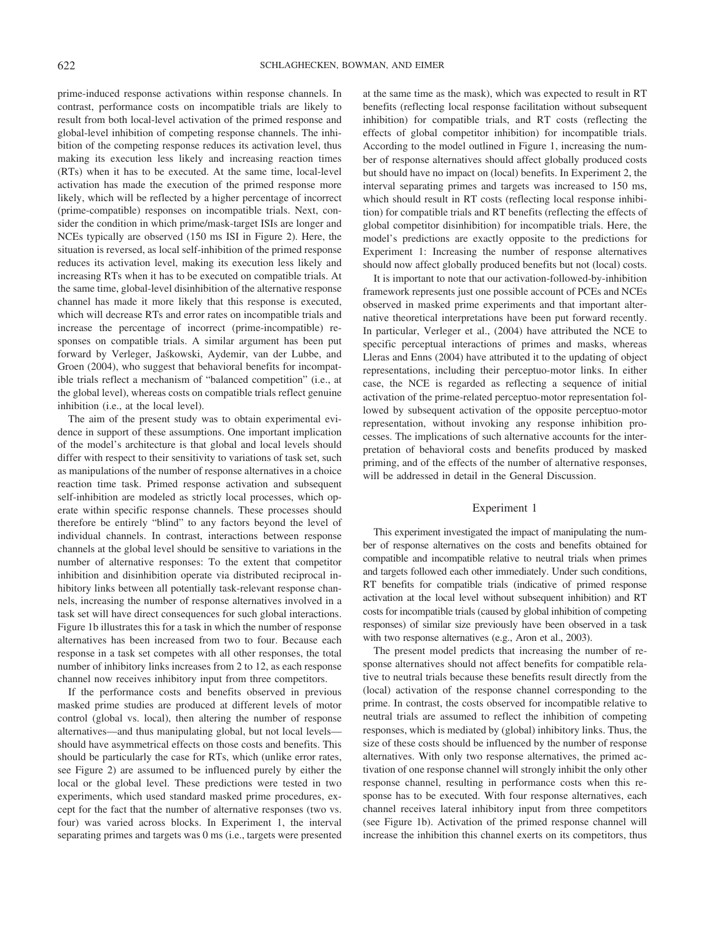prime-induced response activations within response channels. In contrast, performance costs on incompatible trials are likely to result from both local-level activation of the primed response and global-level inhibition of competing response channels. The inhibition of the competing response reduces its activation level, thus making its execution less likely and increasing reaction times (RTs) when it has to be executed. At the same time, local-level activation has made the execution of the primed response more likely, which will be reflected by a higher percentage of incorrect (prime-compatible) responses on incompatible trials. Next, consider the condition in which prime/mask-target ISIs are longer and NCEs typically are observed (150 ms ISI in Figure 2). Here, the situation is reversed, as local self-inhibition of the primed response reduces its activation level, making its execution less likely and increasing RTs when it has to be executed on compatible trials. At the same time, global-level disinhibition of the alternative response channel has made it more likely that this response is executed, which will decrease RTs and error rates on incompatible trials and increase the percentage of incorrect (prime-incompatible) responses on compatible trials. A similar argument has been put forward by Verleger, Jaskowski, Aydemir, van der Lubbe, and Groen (2004), who suggest that behavioral benefits for incompatible trials reflect a mechanism of "balanced competition" (i.e., at the global level), whereas costs on compatible trials reflect genuine inhibition (i.e., at the local level).

The aim of the present study was to obtain experimental evidence in support of these assumptions. One important implication of the model's architecture is that global and local levels should differ with respect to their sensitivity to variations of task set, such as manipulations of the number of response alternatives in a choice reaction time task. Primed response activation and subsequent self-inhibition are modeled as strictly local processes, which operate within specific response channels. These processes should therefore be entirely "blind" to any factors beyond the level of individual channels. In contrast, interactions between response channels at the global level should be sensitive to variations in the number of alternative responses: To the extent that competitor inhibition and disinhibition operate via distributed reciprocal inhibitory links between all potentially task-relevant response channels, increasing the number of response alternatives involved in a task set will have direct consequences for such global interactions. Figure 1b illustrates this for a task in which the number of response alternatives has been increased from two to four. Because each response in a task set competes with all other responses, the total number of inhibitory links increases from 2 to 12, as each response channel now receives inhibitory input from three competitors.

If the performance costs and benefits observed in previous masked prime studies are produced at different levels of motor control (global vs. local), then altering the number of response alternatives—and thus manipulating global, but not local levels should have asymmetrical effects on those costs and benefits. This should be particularly the case for RTs, which (unlike error rates, see Figure 2) are assumed to be influenced purely by either the local or the global level. These predictions were tested in two experiments, which used standard masked prime procedures, except for the fact that the number of alternative responses (two vs. four) was varied across blocks. In Experiment 1, the interval separating primes and targets was 0 ms (i.e., targets were presented at the same time as the mask), which was expected to result in RT benefits (reflecting local response facilitation without subsequent inhibition) for compatible trials, and RT costs (reflecting the effects of global competitor inhibition) for incompatible trials. According to the model outlined in Figure 1, increasing the number of response alternatives should affect globally produced costs but should have no impact on (local) benefits. In Experiment 2, the interval separating primes and targets was increased to 150 ms, which should result in RT costs (reflecting local response inhibition) for compatible trials and RT benefits (reflecting the effects of global competitor disinhibition) for incompatible trials. Here, the model's predictions are exactly opposite to the predictions for Experiment 1: Increasing the number of response alternatives should now affect globally produced benefits but not (local) costs.

It is important to note that our activation-followed-by-inhibition framework represents just one possible account of PCEs and NCEs observed in masked prime experiments and that important alternative theoretical interpretations have been put forward recently. In particular, Verleger et al., (2004) have attributed the NCE to specific perceptual interactions of primes and masks, whereas Lleras and Enns (2004) have attributed it to the updating of object representations, including their perceptuo-motor links. In either case, the NCE is regarded as reflecting a sequence of initial activation of the prime-related perceptuo-motor representation followed by subsequent activation of the opposite perceptuo-motor representation, without invoking any response inhibition processes. The implications of such alternative accounts for the interpretation of behavioral costs and benefits produced by masked priming, and of the effects of the number of alternative responses, will be addressed in detail in the General Discussion.

# Experiment 1

This experiment investigated the impact of manipulating the number of response alternatives on the costs and benefits obtained for compatible and incompatible relative to neutral trials when primes and targets followed each other immediately. Under such conditions, RT benefits for compatible trials (indicative of primed response activation at the local level without subsequent inhibition) and RT costs for incompatible trials (caused by global inhibition of competing responses) of similar size previously have been observed in a task with two response alternatives (e.g., Aron et al., 2003).

The present model predicts that increasing the number of response alternatives should not affect benefits for compatible relative to neutral trials because these benefits result directly from the (local) activation of the response channel corresponding to the prime. In contrast, the costs observed for incompatible relative to neutral trials are assumed to reflect the inhibition of competing responses, which is mediated by (global) inhibitory links. Thus, the size of these costs should be influenced by the number of response alternatives. With only two response alternatives, the primed activation of one response channel will strongly inhibit the only other response channel, resulting in performance costs when this response has to be executed. With four response alternatives, each channel receives lateral inhibitory input from three competitors (see Figure 1b). Activation of the primed response channel will increase the inhibition this channel exerts on its competitors, thus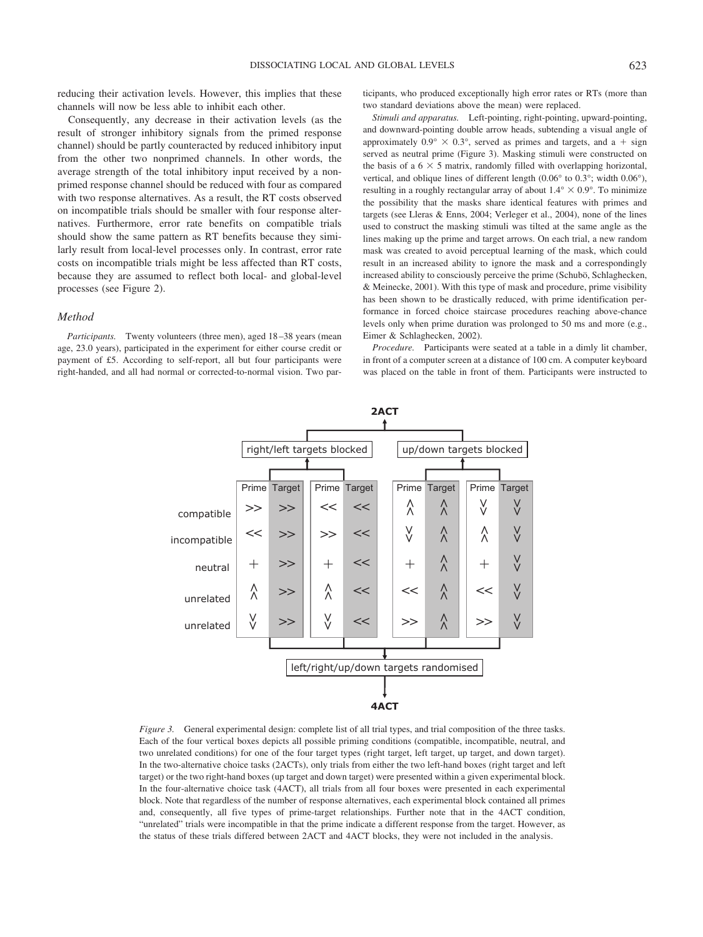reducing their activation levels. However, this implies that these channels will now be less able to inhibit each other.

Consequently, any decrease in their activation levels (as the result of stronger inhibitory signals from the primed response channel) should be partly counteracted by reduced inhibitory input from the other two nonprimed channels. In other words, the average strength of the total inhibitory input received by a nonprimed response channel should be reduced with four as compared with two response alternatives. As a result, the RT costs observed on incompatible trials should be smaller with four response alternatives. Furthermore, error rate benefits on compatible trials should show the same pattern as RT benefits because they similarly result from local-level processes only. In contrast, error rate costs on incompatible trials might be less affected than RT costs, because they are assumed to reflect both local- and global-level processes (see Figure 2).

# *Method*

*Participants.* Twenty volunteers (three men), aged 18-38 years (mean age, 23.0 years), participated in the experiment for either course credit or payment of £5. According to self-report, all but four participants were right-handed, and all had normal or corrected-to-normal vision. Two participants, who produced exceptionally high error rates or RTs (more than two standard deviations above the mean) were replaced.

*Stimuli and apparatus.* Left-pointing, right-pointing, upward-pointing, and downward-pointing double arrow heads, subtending a visual angle of approximately  $0.9^{\circ} \times 0.3^{\circ}$ , served as primes and targets, and a + sign served as neutral prime (Figure 3). Masking stimuli were constructed on the basis of a  $6 \times 5$  matrix, randomly filled with overlapping horizontal, vertical, and oblique lines of different length  $(0.06^{\circ}$  to  $0.3^{\circ}$ ; width  $0.06^{\circ}$ ), resulting in a roughly rectangular array of about  $1.4^{\circ} \times 0.9^{\circ}$ . To minimize the possibility that the masks share identical features with primes and targets (see Lleras & Enns, 2004; Verleger et al., 2004), none of the lines used to construct the masking stimuli was tilted at the same angle as the lines making up the prime and target arrows. On each trial, a new random mask was created to avoid perceptual learning of the mask, which could result in an increased ability to ignore the mask and a correspondingly increased ability to consciously perceive the prime (Schubö, Schlaghecken, & Meinecke, 2001). With this type of mask and procedure, prime visibility has been shown to be drastically reduced, with prime identification performance in forced choice staircase procedures reaching above-chance levels only when prime duration was prolonged to 50 ms and more (e.g., Eimer & Schlaghecken, 2002).

*Procedure.* Participants were seated at a table in a dimly lit chamber, in front of a computer screen at a distance of 100 cm. A computer keyboard was placed on the table in front of them. Participants were instructed to



*Figure 3.* General experimental design: complete list of all trial types, and trial composition of the three tasks. Each of the four vertical boxes depicts all possible priming conditions (compatible, incompatible, neutral, and two unrelated conditions) for one of the four target types (right target, left target, up target, and down target). In the two-alternative choice tasks (2ACTs), only trials from either the two left-hand boxes (right target and left target) or the two right-hand boxes (up target and down target) were presented within a given experimental block. In the four-alternative choice task (4ACT), all trials from all four boxes were presented in each experimental block. Note that regardless of the number of response alternatives, each experimental block contained all primes and, consequently, all five types of prime-target relationships. Further note that in the 4ACT condition, "unrelated" trials were incompatible in that the prime indicate a different response from the target. However, as the status of these trials differed between 2ACT and 4ACT blocks, they were not included in the analysis.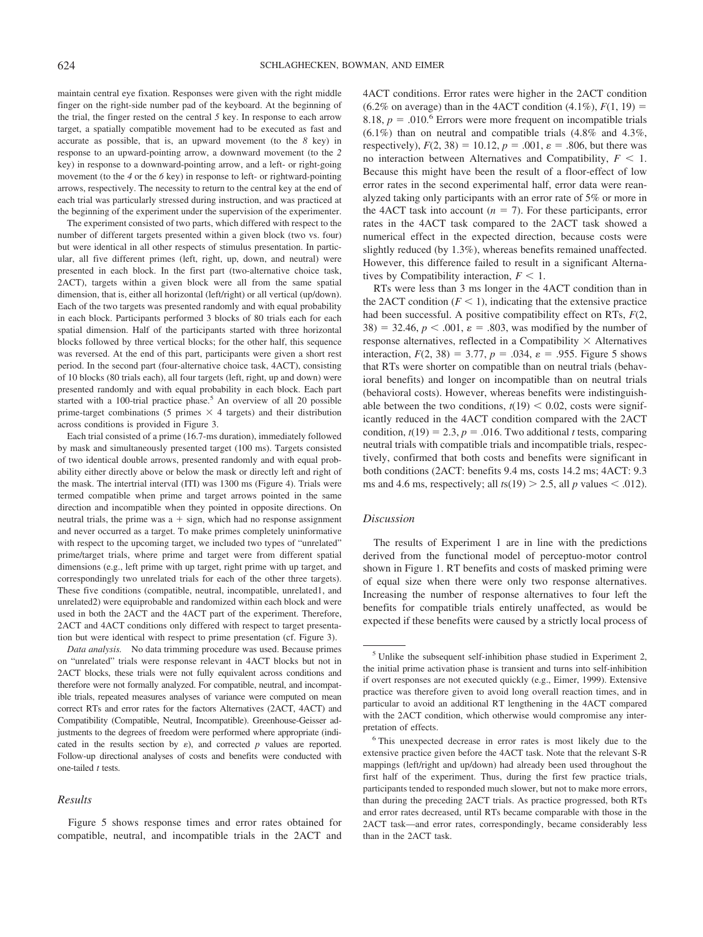maintain central eye fixation. Responses were given with the right middle finger on the right-side number pad of the keyboard. At the beginning of the trial, the finger rested on the central *5* key. In response to each arrow target, a spatially compatible movement had to be executed as fast and accurate as possible, that is, an upward movement (to the *8* key) in response to an upward-pointing arrow, a downward movement (to the *2* key) in response to a downward-pointing arrow, and a left- or right-going movement (to the 4 or the 6 key) in response to left- or rightward-pointing arrows, respectively. The necessity to return to the central key at the end of each trial was particularly stressed during instruction, and was practiced at the beginning of the experiment under the supervision of the experimenter.

The experiment consisted of two parts, which differed with respect to the number of different targets presented within a given block (two vs. four) but were identical in all other respects of stimulus presentation. In particular, all five different primes (left, right, up, down, and neutral) were presented in each block. In the first part (two-alternative choice task, 2ACT), targets within a given block were all from the same spatial dimension, that is, either all horizontal (left/right) or all vertical (up/down). Each of the two targets was presented randomly and with equal probability in each block. Participants performed 3 blocks of 80 trials each for each spatial dimension. Half of the participants started with three horizontal blocks followed by three vertical blocks; for the other half, this sequence was reversed. At the end of this part, participants were given a short rest period. In the second part (four-alternative choice task, 4ACT), consisting of 10 blocks (80 trials each), all four targets (left, right, up and down) were presented randomly and with equal probability in each block. Each part started with a 100-trial practice phase.<sup>5</sup> An overview of all 20 possible prime-target combinations (5 primes  $\times$  4 targets) and their distribution across conditions is provided in Figure 3.

Each trial consisted of a prime (16.7-ms duration), immediately followed by mask and simultaneously presented target (100 ms). Targets consisted of two identical double arrows, presented randomly and with equal probability either directly above or below the mask or directly left and right of the mask. The intertrial interval (ITI) was 1300 ms (Figure 4). Trials were termed compatible when prime and target arrows pointed in the same direction and incompatible when they pointed in opposite directions. On neutral trials, the prime was  $a + sign$ , which had no response assignment and never occurred as a target. To make primes completely uninformative with respect to the upcoming target, we included two types of "unrelated" prime/target trials, where prime and target were from different spatial dimensions (e.g., left prime with up target, right prime with up target, and correspondingly two unrelated trials for each of the other three targets). These five conditions (compatible, neutral, incompatible, unrelated1, and unrelated2) were equiprobable and randomized within each block and were used in both the 2ACT and the 4ACT part of the experiment. Therefore, 2ACT and 4ACT conditions only differed with respect to target presentation but were identical with respect to prime presentation (cf. Figure 3).

*Data analysis.* No data trimming procedure was used. Because primes on "unrelated" trials were response relevant in 4ACT blocks but not in 2ACT blocks, these trials were not fully equivalent across conditions and therefore were not formally analyzed. For compatible, neutral, and incompatible trials, repeated measures analyses of variance were computed on mean correct RTs and error rates for the factors Alternatives (2ACT, 4ACT) and Compatibility (Compatible, Neutral, Incompatible). Greenhouse-Geisser adjustments to the degrees of freedom were performed where appropriate (indicated in the results section by  $\varepsilon$ ), and corrected  $p$  values are reported. Follow-up directional analyses of costs and benefits were conducted with one-tailed *t* tests.

#### *Results*

Figure 5 shows response times and error rates obtained for compatible, neutral, and incompatible trials in the 2ACT and 4ACT conditions. Error rates were higher in the 2ACT condition  $(6.2\%$  on average) than in the 4ACT condition  $(4.1\%), F(1, 19) =$ 8.18,  $p = .010$ .<sup>6</sup> Errors were more frequent on incompatible trials  $(6.1\%)$  than on neutral and compatible trials  $(4.8\%$  and  $4.3\%$ , respectively),  $F(2, 38) = 10.12$ ,  $p = .001$ ,  $\varepsilon = .806$ , but there was no interaction between Alternatives and Compatibility,  $F < 1$ . Because this might have been the result of a floor-effect of low error rates in the second experimental half, error data were reanalyzed taking only participants with an error rate of 5% or more in the 4ACT task into account  $(n = 7)$ . For these participants, error rates in the 4ACT task compared to the 2ACT task showed a numerical effect in the expected direction, because costs were slightly reduced (by 1.3%), whereas benefits remained unaffected. However, this difference failed to result in a significant Alternatives by Compatibility interaction,  $F < 1$ .

RTs were less than 3 ms longer in the 4ACT condition than in the 2ACT condition  $(F \leq 1)$ , indicating that the extensive practice had been successful. A positive compatibility effect on RTs, *F*(2,  $38 = 32.46$ ,  $p < .001$ ,  $\varepsilon = .803$ , was modified by the number of response alternatives, reflected in a Compatibility  $\times$  Alternatives interaction,  $F(2, 38) = 3.77$ ,  $p = .034$ ,  $\varepsilon = .955$ . Figure 5 shows that RTs were shorter on compatible than on neutral trials (behavioral benefits) and longer on incompatible than on neutral trials (behavioral costs). However, whereas benefits were indistinguishable between the two conditions,  $t(19) < 0.02$ , costs were significantly reduced in the 4ACT condition compared with the 2ACT condition,  $t(19) = 2.3$ ,  $p = .016$ . Two additional *t* tests, comparing neutral trials with compatible trials and incompatible trials, respectively, confirmed that both costs and benefits were significant in both conditions (2ACT: benefits 9.4 ms, costs 14.2 ms; 4ACT: 9.3 ms and 4.6 ms, respectively; all  $t s(19) > 2.5$ , all  $p$  values  $\leq .012$ ).

# *Discussion*

The results of Experiment 1 are in line with the predictions derived from the functional model of perceptuo-motor control shown in Figure 1. RT benefits and costs of masked priming were of equal size when there were only two response alternatives. Increasing the number of response alternatives to four left the benefits for compatible trials entirely unaffected, as would be expected if these benefits were caused by a strictly local process of

 $<sup>5</sup>$  Unlike the subsequent self-inhibition phase studied in Experiment 2,</sup> the initial prime activation phase is transient and turns into self-inhibition if overt responses are not executed quickly (e.g., Eimer, 1999). Extensive practice was therefore given to avoid long overall reaction times, and in particular to avoid an additional RT lengthening in the 4ACT compared with the 2ACT condition, which otherwise would compromise any interpretation of effects.

<sup>6</sup> This unexpected decrease in error rates is most likely due to the extensive practice given before the 4ACT task. Note that the relevant S-R mappings (left/right and up/down) had already been used throughout the first half of the experiment. Thus, during the first few practice trials, participants tended to responded much slower, but not to make more errors, than during the preceding 2ACT trials. As practice progressed, both RTs and error rates decreased, until RTs became comparable with those in the 2ACT task—and error rates, correspondingly, became considerably less than in the 2ACT task.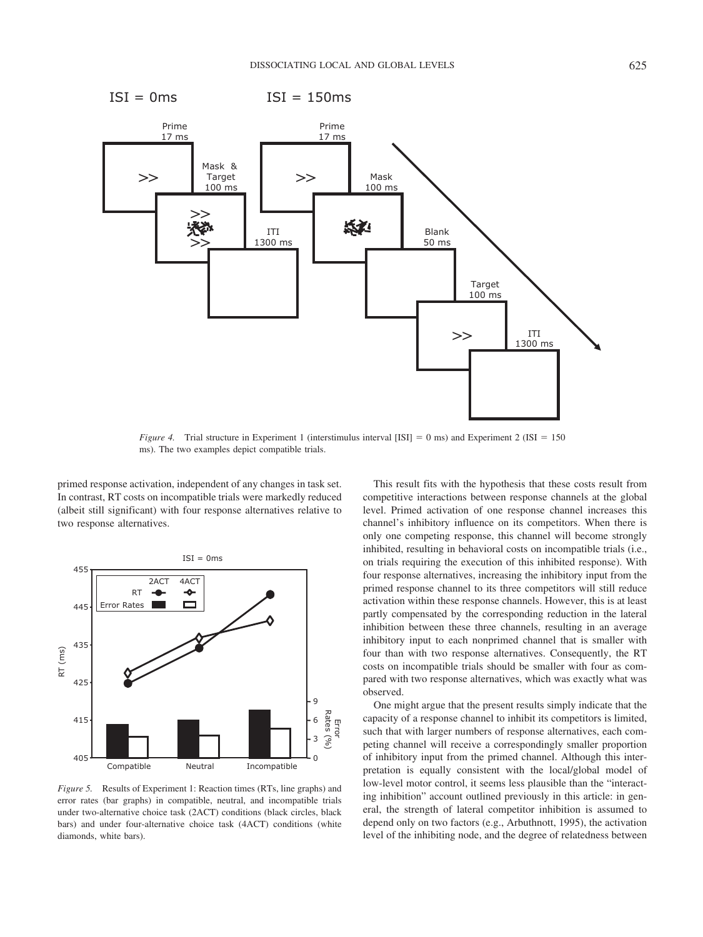

*Figure 4.* Trial structure in Experiment 1 (interstimulus interval [ISI] = 0 ms) and Experiment 2 (ISI = 150) ms). The two examples depict compatible trials.

primed response activation, independent of any changes in task set. In contrast, RT costs on incompatible trials were markedly reduced (albeit still significant) with four response alternatives relative to two response alternatives.



*Figure 5.* Results of Experiment 1: Reaction times (RTs, line graphs) and error rates (bar graphs) in compatible, neutral, and incompatible trials under two-alternative choice task (2ACT) conditions (black circles, black bars) and under four-alternative choice task (4ACT) conditions (white diamonds, white bars).

This result fits with the hypothesis that these costs result from competitive interactions between response channels at the global level. Primed activation of one response channel increases this channel's inhibitory influence on its competitors. When there is only one competing response, this channel will become strongly inhibited, resulting in behavioral costs on incompatible trials (i.e., on trials requiring the execution of this inhibited response). With four response alternatives, increasing the inhibitory input from the primed response channel to its three competitors will still reduce activation within these response channels. However, this is at least partly compensated by the corresponding reduction in the lateral inhibition between these three channels, resulting in an average inhibitory input to each nonprimed channel that is smaller with four than with two response alternatives. Consequently, the RT costs on incompatible trials should be smaller with four as compared with two response alternatives, which was exactly what was observed.

One might argue that the present results simply indicate that the capacity of a response channel to inhibit its competitors is limited, such that with larger numbers of response alternatives, each competing channel will receive a correspondingly smaller proportion of inhibitory input from the primed channel. Although this interpretation is equally consistent with the local/global model of low-level motor control, it seems less plausible than the "interacting inhibition" account outlined previously in this article: in general, the strength of lateral competitor inhibition is assumed to depend only on two factors (e.g., Arbuthnott, 1995), the activation level of the inhibiting node, and the degree of relatedness between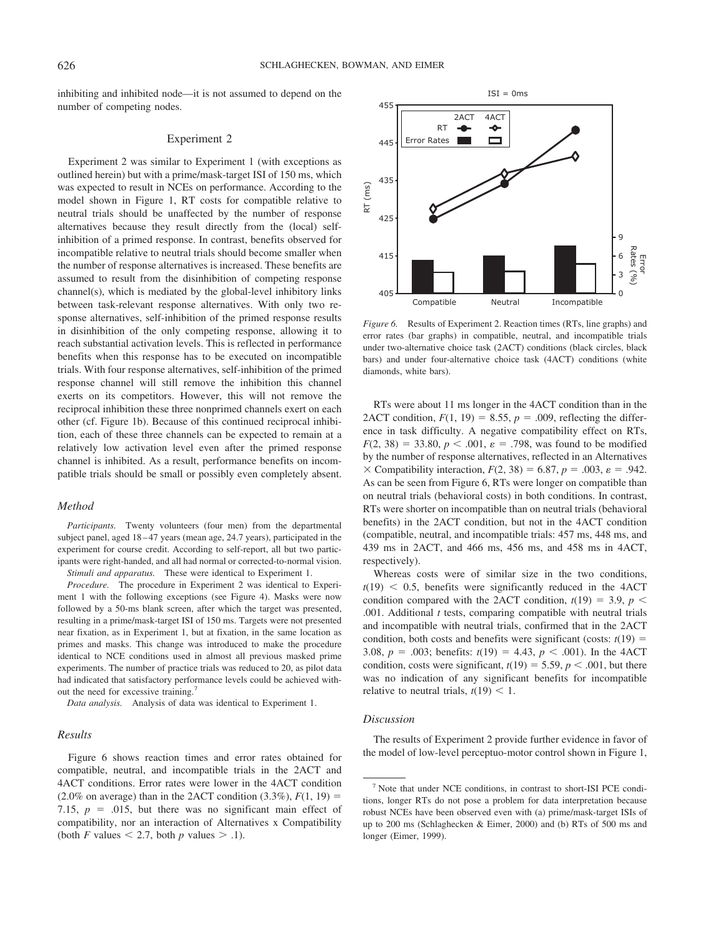inhibiting and inhibited node—it is not assumed to depend on the number of competing nodes.

#### Experiment 2

Experiment 2 was similar to Experiment 1 (with exceptions as outlined herein) but with a prime/mask-target ISI of 150 ms, which was expected to result in NCEs on performance. According to the model shown in Figure 1, RT costs for compatible relative to neutral trials should be unaffected by the number of response alternatives because they result directly from the (local) selfinhibition of a primed response. In contrast, benefits observed for incompatible relative to neutral trials should become smaller when the number of response alternatives is increased. These benefits are assumed to result from the disinhibition of competing response channel(s), which is mediated by the global-level inhibitory links between task-relevant response alternatives. With only two response alternatives, self-inhibition of the primed response results in disinhibition of the only competing response, allowing it to reach substantial activation levels. This is reflected in performance benefits when this response has to be executed on incompatible trials. With four response alternatives, self-inhibition of the primed response channel will still remove the inhibition this channel exerts on its competitors. However, this will not remove the reciprocal inhibition these three nonprimed channels exert on each other (cf. Figure 1b). Because of this continued reciprocal inhibition, each of these three channels can be expected to remain at a relatively low activation level even after the primed response channel is inhibited. As a result, performance benefits on incompatible trials should be small or possibly even completely absent.

#### *Method*

*Participants.* Twenty volunteers (four men) from the departmental subject panel, aged  $18-47$  years (mean age, 24.7 years), participated in the experiment for course credit. According to self-report, all but two participants were right-handed, and all had normal or corrected-to-normal vision. *Stimuli and apparatus.* These were identical to Experiment 1.

*Procedure.* The procedure in Experiment 2 was identical to Experiment 1 with the following exceptions (see Figure 4). Masks were now followed by a 50-ms blank screen, after which the target was presented, resulting in a prime/mask-target ISI of 150 ms. Targets were not presented near fixation, as in Experiment 1, but at fixation, in the same location as primes and masks. This change was introduced to make the procedure identical to NCE conditions used in almost all previous masked prime experiments. The number of practice trials was reduced to 20, as pilot data had indicated that satisfactory performance levels could be achieved without the need for excessive training.<sup>7</sup>

*Data analysis.* Analysis of data was identical to Experiment 1.

## *Results*

Figure 6 shows reaction times and error rates obtained for compatible, neutral, and incompatible trials in the 2ACT and 4ACT conditions. Error rates were lower in the 4ACT condition  $(2.0\%$  on average) than in the 2ACT condition  $(3.3\%), F(1, 19) =$ 7.15,  $p = .015$ , but there was no significant main effect of compatibility, nor an interaction of Alternatives x Compatibility (both *F* values  $\leq$  2.7, both *p* values  $\geq$  .1).



*Figure 6.* Results of Experiment 2. Reaction times (RTs, line graphs) and error rates (bar graphs) in compatible, neutral, and incompatible trials under two-alternative choice task (2ACT) conditions (black circles, black bars) and under four-alternative choice task (4ACT) conditions (white diamonds, white bars).

RTs were about 11 ms longer in the 4ACT condition than in the 2ACT condition,  $F(1, 19) = 8.55$ ,  $p = .009$ , reflecting the difference in task difficulty. A negative compatibility effect on RTs,  $F(2, 38) = 33.80, p < .001, \varepsilon = .798$ , was found to be modified by the number of response alternatives, reflected in an Alternatives  $\times$  Compatibility interaction,  $F(2, 38) = 6.87$ ,  $p = .003$ ,  $\varepsilon = .942$ . As can be seen from Figure 6, RTs were longer on compatible than on neutral trials (behavioral costs) in both conditions. In contrast, RTs were shorter on incompatible than on neutral trials (behavioral benefits) in the 2ACT condition, but not in the 4ACT condition (compatible, neutral, and incompatible trials: 457 ms, 448 ms, and 439 ms in 2ACT, and 466 ms, 456 ms, and 458 ms in 4ACT, respectively).

Whereas costs were of similar size in the two conditions,  $t(19)$  < 0.5, benefits were significantly reduced in the 4ACT condition compared with the 2ACT condition,  $t(19) = 3.9$ ,  $p <$ .001. Additional *t* tests, comparing compatible with neutral trials and incompatible with neutral trials, confirmed that in the 2ACT condition, both costs and benefits were significant (costs:  $t(19)$  = 3.08,  $p = .003$ ; benefits:  $t(19) = 4.43$ ,  $p < .001$ ). In the 4ACT condition, costs were significant,  $t(19) = 5.59$ ,  $p < .001$ , but there was no indication of any significant benefits for incompatible relative to neutral trials,  $t(19) < 1$ .

#### *Discussion*

The results of Experiment 2 provide further evidence in favor of the model of low-level perceptuo-motor control shown in Figure 1,

<sup>7</sup> Note that under NCE conditions, in contrast to short-ISI PCE conditions, longer RTs do not pose a problem for data interpretation because robust NCEs have been observed even with (a) prime/mask-target ISIs of up to 200 ms (Schlaghecken & Eimer, 2000) and (b) RTs of 500 ms and longer (Eimer, 1999).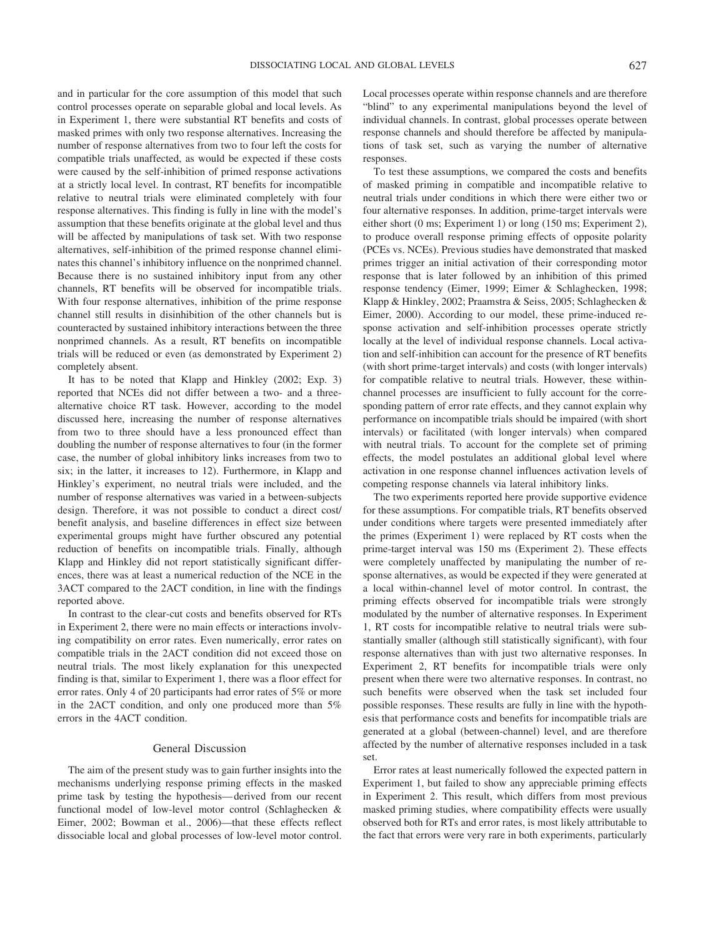and in particular for the core assumption of this model that such control processes operate on separable global and local levels. As in Experiment 1, there were substantial RT benefits and costs of masked primes with only two response alternatives. Increasing the number of response alternatives from two to four left the costs for compatible trials unaffected, as would be expected if these costs were caused by the self-inhibition of primed response activations at a strictly local level. In contrast, RT benefits for incompatible relative to neutral trials were eliminated completely with four response alternatives. This finding is fully in line with the model's assumption that these benefits originate at the global level and thus will be affected by manipulations of task set. With two response alternatives, self-inhibition of the primed response channel eliminates this channel's inhibitory influence on the nonprimed channel. Because there is no sustained inhibitory input from any other channels, RT benefits will be observed for incompatible trials. With four response alternatives, inhibition of the prime response channel still results in disinhibition of the other channels but is counteracted by sustained inhibitory interactions between the three nonprimed channels. As a result, RT benefits on incompatible trials will be reduced or even (as demonstrated by Experiment 2) completely absent.

It has to be noted that Klapp and Hinkley (2002; Exp. 3) reported that NCEs did not differ between a two- and a threealternative choice RT task. However, according to the model discussed here, increasing the number of response alternatives from two to three should have a less pronounced effect than doubling the number of response alternatives to four (in the former case, the number of global inhibitory links increases from two to six; in the latter, it increases to 12). Furthermore, in Klapp and Hinkley's experiment, no neutral trials were included, and the number of response alternatives was varied in a between-subjects design. Therefore, it was not possible to conduct a direct cost/ benefit analysis, and baseline differences in effect size between experimental groups might have further obscured any potential reduction of benefits on incompatible trials. Finally, although Klapp and Hinkley did not report statistically significant differences, there was at least a numerical reduction of the NCE in the 3ACT compared to the 2ACT condition, in line with the findings reported above.

In contrast to the clear-cut costs and benefits observed for RTs in Experiment 2, there were no main effects or interactions involving compatibility on error rates. Even numerically, error rates on compatible trials in the 2ACT condition did not exceed those on neutral trials. The most likely explanation for this unexpected finding is that, similar to Experiment 1, there was a floor effect for error rates. Only 4 of 20 participants had error rates of 5% or more in the 2ACT condition, and only one produced more than 5% errors in the 4ACT condition.

## General Discussion

The aim of the present study was to gain further insights into the mechanisms underlying response priming effects in the masked prime task by testing the hypothesis— derived from our recent functional model of low-level motor control (Schlaghecken & Eimer, 2002; Bowman et al., 2006)—that these effects reflect dissociable local and global processes of low-level motor control. Local processes operate within response channels and are therefore "blind" to any experimental manipulations beyond the level of individual channels. In contrast, global processes operate between response channels and should therefore be affected by manipulations of task set, such as varying the number of alternative responses.

To test these assumptions, we compared the costs and benefits of masked priming in compatible and incompatible relative to neutral trials under conditions in which there were either two or four alternative responses. In addition, prime-target intervals were either short (0 ms; Experiment 1) or long (150 ms; Experiment 2), to produce overall response priming effects of opposite polarity (PCEs vs. NCEs). Previous studies have demonstrated that masked primes trigger an initial activation of their corresponding motor response that is later followed by an inhibition of this primed response tendency (Eimer, 1999; Eimer & Schlaghecken, 1998; Klapp & Hinkley, 2002; Praamstra & Seiss, 2005; Schlaghecken & Eimer, 2000). According to our model, these prime-induced response activation and self-inhibition processes operate strictly locally at the level of individual response channels. Local activation and self-inhibition can account for the presence of RT benefits (with short prime-target intervals) and costs (with longer intervals) for compatible relative to neutral trials. However, these withinchannel processes are insufficient to fully account for the corresponding pattern of error rate effects, and they cannot explain why performance on incompatible trials should be impaired (with short intervals) or facilitated (with longer intervals) when compared with neutral trials. To account for the complete set of priming effects, the model postulates an additional global level where activation in one response channel influences activation levels of competing response channels via lateral inhibitory links.

The two experiments reported here provide supportive evidence for these assumptions. For compatible trials, RT benefits observed under conditions where targets were presented immediately after the primes (Experiment 1) were replaced by RT costs when the prime-target interval was 150 ms (Experiment 2). These effects were completely unaffected by manipulating the number of response alternatives, as would be expected if they were generated at a local within-channel level of motor control. In contrast, the priming effects observed for incompatible trials were strongly modulated by the number of alternative responses. In Experiment 1, RT costs for incompatible relative to neutral trials were substantially smaller (although still statistically significant), with four response alternatives than with just two alternative responses. In Experiment 2, RT benefits for incompatible trials were only present when there were two alternative responses. In contrast, no such benefits were observed when the task set included four possible responses. These results are fully in line with the hypothesis that performance costs and benefits for incompatible trials are generated at a global (between-channel) level, and are therefore affected by the number of alternative responses included in a task set.

Error rates at least numerically followed the expected pattern in Experiment 1, but failed to show any appreciable priming effects in Experiment 2. This result, which differs from most previous masked priming studies, where compatibility effects were usually observed both for RTs and error rates, is most likely attributable to the fact that errors were very rare in both experiments, particularly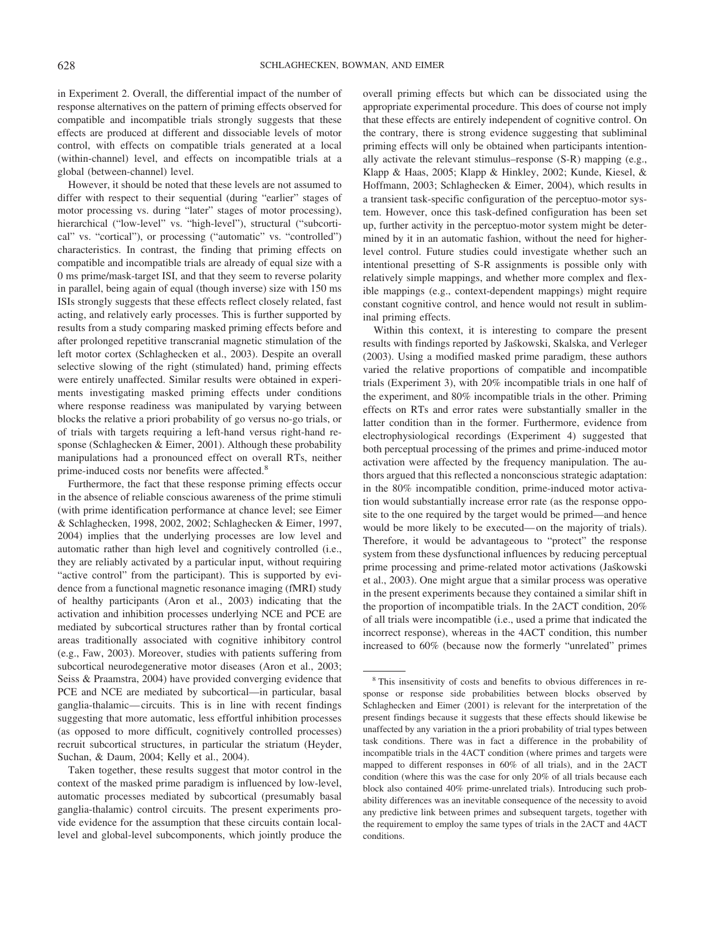in Experiment 2. Overall, the differential impact of the number of response alternatives on the pattern of priming effects observed for compatible and incompatible trials strongly suggests that these effects are produced at different and dissociable levels of motor control, with effects on compatible trials generated at a local (within-channel) level, and effects on incompatible trials at a global (between-channel) level.

However, it should be noted that these levels are not assumed to differ with respect to their sequential (during "earlier" stages of motor processing vs. during "later" stages of motor processing), hierarchical ("low-level" vs. "high-level"), structural ("subcortical" vs. "cortical"), or processing ("automatic" vs. "controlled") characteristics. In contrast, the finding that priming effects on compatible and incompatible trials are already of equal size with a 0 ms prime/mask-target ISI, and that they seem to reverse polarity in parallel, being again of equal (though inverse) size with 150 ms ISIs strongly suggests that these effects reflect closely related, fast acting, and relatively early processes. This is further supported by results from a study comparing masked priming effects before and after prolonged repetitive transcranial magnetic stimulation of the left motor cortex (Schlaghecken et al., 2003). Despite an overall selective slowing of the right (stimulated) hand, priming effects were entirely unaffected. Similar results were obtained in experiments investigating masked priming effects under conditions where response readiness was manipulated by varying between blocks the relative a priori probability of go versus no-go trials, or of trials with targets requiring a left-hand versus right-hand response (Schlaghecken & Eimer, 2001). Although these probability manipulations had a pronounced effect on overall RTs, neither prime-induced costs nor benefits were affected.<sup>8</sup>

Furthermore, the fact that these response priming effects occur in the absence of reliable conscious awareness of the prime stimuli (with prime identification performance at chance level; see Eimer & Schlaghecken, 1998, 2002, 2002; Schlaghecken & Eimer, 1997, 2004) implies that the underlying processes are low level and automatic rather than high level and cognitively controlled (i.e., they are reliably activated by a particular input, without requiring "active control" from the participant). This is supported by evidence from a functional magnetic resonance imaging (fMRI) study of healthy participants (Aron et al., 2003) indicating that the activation and inhibition processes underlying NCE and PCE are mediated by subcortical structures rather than by frontal cortical areas traditionally associated with cognitive inhibitory control (e.g., Faw, 2003). Moreover, studies with patients suffering from subcortical neurodegenerative motor diseases (Aron et al., 2003; Seiss & Praamstra, 2004) have provided converging evidence that PCE and NCE are mediated by subcortical—in particular, basal ganglia-thalamic— circuits. This is in line with recent findings suggesting that more automatic, less effortful inhibition processes (as opposed to more difficult, cognitively controlled processes) recruit subcortical structures, in particular the striatum (Heyder, Suchan, & Daum, 2004; Kelly et al., 2004).

Taken together, these results suggest that motor control in the context of the masked prime paradigm is influenced by low-level, automatic processes mediated by subcortical (presumably basal ganglia-thalamic) control circuits. The present experiments provide evidence for the assumption that these circuits contain locallevel and global-level subcomponents, which jointly produce the overall priming effects but which can be dissociated using the appropriate experimental procedure. This does of course not imply that these effects are entirely independent of cognitive control. On the contrary, there is strong evidence suggesting that subliminal priming effects will only be obtained when participants intentionally activate the relevant stimulus–response (S-R) mapping (e.g., Klapp & Haas, 2005; Klapp & Hinkley, 2002; Kunde, Kiesel, & Hoffmann, 2003; Schlaghecken & Eimer, 2004), which results in a transient task-specific configuration of the perceptuo-motor system. However, once this task-defined configuration has been set up, further activity in the perceptuo-motor system might be determined by it in an automatic fashion, without the need for higherlevel control. Future studies could investigate whether such an intentional presetting of S-R assignments is possible only with relatively simple mappings, and whether more complex and flexible mappings (e.g., context-dependent mappings) might require constant cognitive control, and hence would not result in subliminal priming effects.

Within this context, it is interesting to compare the present results with findings reported by Jaskowski, Skalska, and Verleger (2003). Using a modified masked prime paradigm, these authors varied the relative proportions of compatible and incompatible trials (Experiment 3), with 20% incompatible trials in one half of the experiment, and 80% incompatible trials in the other. Priming effects on RTs and error rates were substantially smaller in the latter condition than in the former. Furthermore, evidence from electrophysiological recordings (Experiment 4) suggested that both perceptual processing of the primes and prime-induced motor activation were affected by the frequency manipulation. The authors argued that this reflected a nonconscious strategic adaptation: in the 80% incompatible condition, prime-induced motor activation would substantially increase error rate (as the response opposite to the one required by the target would be primed—and hence would be more likely to be executed— on the majority of trials). Therefore, it would be advantageous to "protect" the response system from these dysfunctional influences by reducing perceptual prime processing and prime-related motor activations (Jaskowski et al., 2003). One might argue that a similar process was operative in the present experiments because they contained a similar shift in the proportion of incompatible trials. In the 2ACT condition, 20% of all trials were incompatible (i.e., used a prime that indicated the incorrect response), whereas in the 4ACT condition, this number increased to 60% (because now the formerly "unrelated" primes

<sup>8</sup> This insensitivity of costs and benefits to obvious differences in response or response side probabilities between blocks observed by Schlaghecken and Eimer (2001) is relevant for the interpretation of the present findings because it suggests that these effects should likewise be unaffected by any variation in the a priori probability of trial types between task conditions. There was in fact a difference in the probability of incompatible trials in the 4ACT condition (where primes and targets were mapped to different responses in 60% of all trials), and in the 2ACT condition (where this was the case for only 20% of all trials because each block also contained 40% prime-unrelated trials). Introducing such probability differences was an inevitable consequence of the necessity to avoid any predictive link between primes and subsequent targets, together with the requirement to employ the same types of trials in the 2ACT and 4ACT conditions.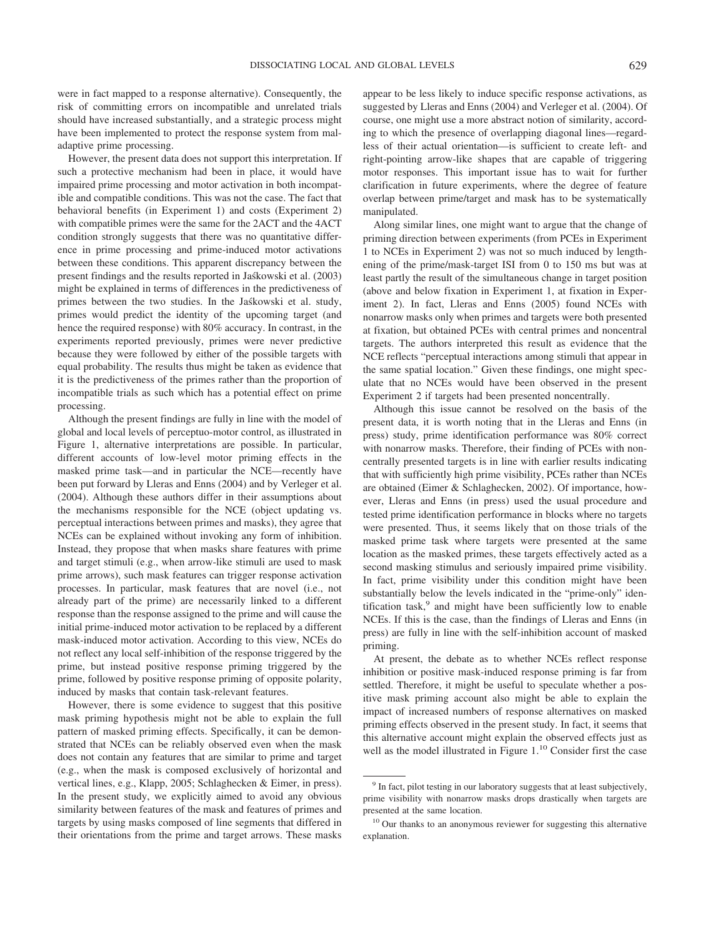were in fact mapped to a response alternative). Consequently, the risk of committing errors on incompatible and unrelated trials should have increased substantially, and a strategic process might have been implemented to protect the response system from maladaptive prime processing.

However, the present data does not support this interpretation. If such a protective mechanism had been in place, it would have impaired prime processing and motor activation in both incompatible and compatible conditions. This was not the case. The fact that behavioral benefits (in Experiment 1) and costs (Experiment 2) with compatible primes were the same for the 2ACT and the 4ACT condition strongly suggests that there was no quantitative difference in prime processing and prime-induced motor activations between these conditions. This apparent discrepancy between the present findings and the results reported in Jaskowski et al. (2003) might be explained in terms of differences in the predictiveness of primes between the two studies. In the Jaskowski et al. study, primes would predict the identity of the upcoming target (and hence the required response) with 80% accuracy. In contrast, in the experiments reported previously, primes were never predictive because they were followed by either of the possible targets with equal probability. The results thus might be taken as evidence that it is the predictiveness of the primes rather than the proportion of incompatible trials as such which has a potential effect on prime processing.

Although the present findings are fully in line with the model of global and local levels of perceptuo-motor control, as illustrated in Figure 1, alternative interpretations are possible. In particular, different accounts of low-level motor priming effects in the masked prime task—and in particular the NCE—recently have been put forward by Lleras and Enns (2004) and by Verleger et al. (2004). Although these authors differ in their assumptions about the mechanisms responsible for the NCE (object updating vs. perceptual interactions between primes and masks), they agree that NCEs can be explained without invoking any form of inhibition. Instead, they propose that when masks share features with prime and target stimuli (e.g., when arrow-like stimuli are used to mask prime arrows), such mask features can trigger response activation processes. In particular, mask features that are novel (i.e., not already part of the prime) are necessarily linked to a different response than the response assigned to the prime and will cause the initial prime-induced motor activation to be replaced by a different mask-induced motor activation. According to this view, NCEs do not reflect any local self-inhibition of the response triggered by the prime, but instead positive response priming triggered by the prime, followed by positive response priming of opposite polarity, induced by masks that contain task-relevant features.

However, there is some evidence to suggest that this positive mask priming hypothesis might not be able to explain the full pattern of masked priming effects. Specifically, it can be demonstrated that NCEs can be reliably observed even when the mask does not contain any features that are similar to prime and target (e.g., when the mask is composed exclusively of horizontal and vertical lines, e.g., Klapp, 2005; Schlaghecken & Eimer, in press). In the present study, we explicitly aimed to avoid any obvious similarity between features of the mask and features of primes and targets by using masks composed of line segments that differed in their orientations from the prime and target arrows. These masks appear to be less likely to induce specific response activations, as suggested by Lleras and Enns (2004) and Verleger et al. (2004). Of course, one might use a more abstract notion of similarity, according to which the presence of overlapping diagonal lines—regardless of their actual orientation—is sufficient to create left- and right-pointing arrow-like shapes that are capable of triggering motor responses. This important issue has to wait for further clarification in future experiments, where the degree of feature overlap between prime/target and mask has to be systematically manipulated.

Along similar lines, one might want to argue that the change of priming direction between experiments (from PCEs in Experiment 1 to NCEs in Experiment 2) was not so much induced by lengthening of the prime/mask-target ISI from 0 to 150 ms but was at least partly the result of the simultaneous change in target position (above and below fixation in Experiment 1, at fixation in Experiment 2). In fact, Lleras and Enns (2005) found NCEs with nonarrow masks only when primes and targets were both presented at fixation, but obtained PCEs with central primes and noncentral targets. The authors interpreted this result as evidence that the NCE reflects "perceptual interactions among stimuli that appear in the same spatial location." Given these findings, one might speculate that no NCEs would have been observed in the present Experiment 2 if targets had been presented noncentrally.

Although this issue cannot be resolved on the basis of the present data, it is worth noting that in the Lleras and Enns (in press) study, prime identification performance was 80% correct with nonarrow masks. Therefore, their finding of PCEs with noncentrally presented targets is in line with earlier results indicating that with sufficiently high prime visibility, PCEs rather than NCEs are obtained (Eimer & Schlaghecken, 2002). Of importance, however, Lleras and Enns (in press) used the usual procedure and tested prime identification performance in blocks where no targets were presented. Thus, it seems likely that on those trials of the masked prime task where targets were presented at the same location as the masked primes, these targets effectively acted as a second masking stimulus and seriously impaired prime visibility. In fact, prime visibility under this condition might have been substantially below the levels indicated in the "prime-only" identification task, $9$  and might have been sufficiently low to enable NCEs. If this is the case, than the findings of Lleras and Enns (in press) are fully in line with the self-inhibition account of masked priming.

At present, the debate as to whether NCEs reflect response inhibition or positive mask-induced response priming is far from settled. Therefore, it might be useful to speculate whether a positive mask priming account also might be able to explain the impact of increased numbers of response alternatives on masked priming effects observed in the present study. In fact, it seems that this alternative account might explain the observed effects just as well as the model illustrated in Figure  $1<sup>10</sup>$  Consider first the case

<sup>&</sup>lt;sup>9</sup> In fact, pilot testing in our laboratory suggests that at least subjectively, prime visibility with nonarrow masks drops drastically when targets are presented at the same location.

<sup>&</sup>lt;sup>10</sup> Our thanks to an anonymous reviewer for suggesting this alternative explanation.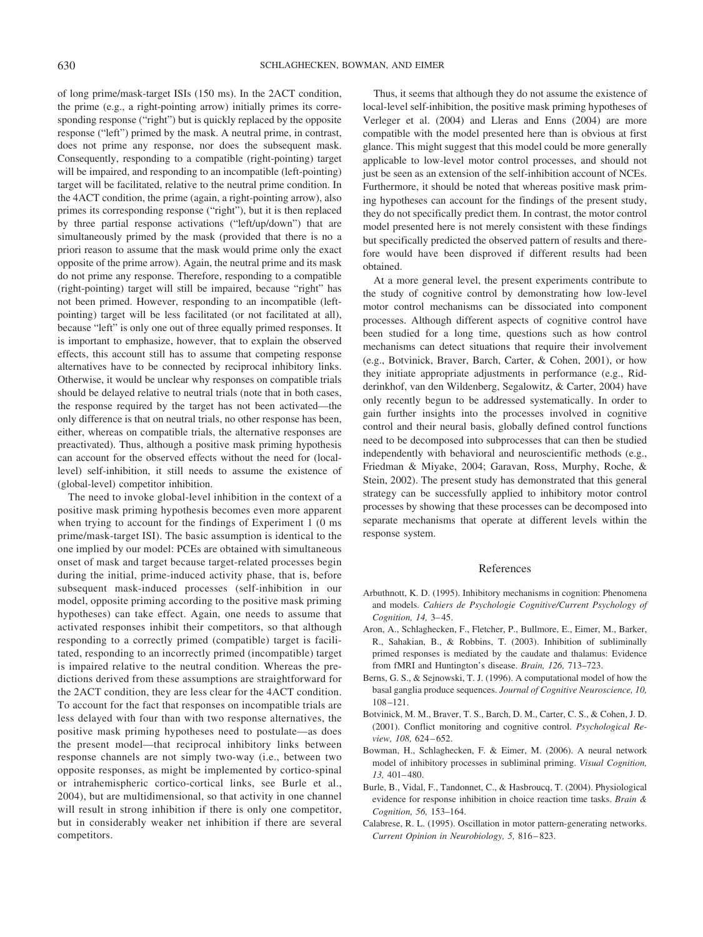of long prime/mask-target ISIs (150 ms). In the 2ACT condition, the prime (e.g., a right-pointing arrow) initially primes its corresponding response ("right") but is quickly replaced by the opposite response ("left") primed by the mask. A neutral prime, in contrast, does not prime any response, nor does the subsequent mask. Consequently, responding to a compatible (right-pointing) target will be impaired, and responding to an incompatible (left-pointing) target will be facilitated, relative to the neutral prime condition. In the 4ACT condition, the prime (again, a right-pointing arrow), also primes its corresponding response ("right"), but it is then replaced by three partial response activations ("left/up/down") that are simultaneously primed by the mask (provided that there is no a priori reason to assume that the mask would prime only the exact opposite of the prime arrow). Again, the neutral prime and its mask do not prime any response. Therefore, responding to a compatible (right-pointing) target will still be impaired, because "right" has not been primed. However, responding to an incompatible (leftpointing) target will be less facilitated (or not facilitated at all), because "left" is only one out of three equally primed responses. It is important to emphasize, however, that to explain the observed effects, this account still has to assume that competing response alternatives have to be connected by reciprocal inhibitory links. Otherwise, it would be unclear why responses on compatible trials should be delayed relative to neutral trials (note that in both cases, the response required by the target has not been activated—the only difference is that on neutral trials, no other response has been, either, whereas on compatible trials, the alternative responses are preactivated). Thus, although a positive mask priming hypothesis can account for the observed effects without the need for (locallevel) self-inhibition, it still needs to assume the existence of (global-level) competitor inhibition.

The need to invoke global-level inhibition in the context of a positive mask priming hypothesis becomes even more apparent when trying to account for the findings of Experiment 1 (0 ms) prime/mask-target ISI). The basic assumption is identical to the one implied by our model: PCEs are obtained with simultaneous onset of mask and target because target-related processes begin during the initial, prime-induced activity phase, that is, before subsequent mask-induced processes (self-inhibition in our model, opposite priming according to the positive mask priming hypotheses) can take effect. Again, one needs to assume that activated responses inhibit their competitors, so that although responding to a correctly primed (compatible) target is facilitated, responding to an incorrectly primed (incompatible) target is impaired relative to the neutral condition. Whereas the predictions derived from these assumptions are straightforward for the 2ACT condition, they are less clear for the 4ACT condition. To account for the fact that responses on incompatible trials are less delayed with four than with two response alternatives, the positive mask priming hypotheses need to postulate—as does the present model—that reciprocal inhibitory links between response channels are not simply two-way (i.e., between two opposite responses, as might be implemented by cortico-spinal or intrahemispheric cortico-cortical links, see Burle et al., 2004), but are multidimensional, so that activity in one channel will result in strong inhibition if there is only one competitor, but in considerably weaker net inhibition if there are several competitors.

Thus, it seems that although they do not assume the existence of local-level self-inhibition, the positive mask priming hypotheses of Verleger et al. (2004) and Lleras and Enns (2004) are more compatible with the model presented here than is obvious at first glance. This might suggest that this model could be more generally applicable to low-level motor control processes, and should not just be seen as an extension of the self-inhibition account of NCEs. Furthermore, it should be noted that whereas positive mask priming hypotheses can account for the findings of the present study, they do not specifically predict them. In contrast, the motor control model presented here is not merely consistent with these findings but specifically predicted the observed pattern of results and therefore would have been disproved if different results had been obtained.

At a more general level, the present experiments contribute to the study of cognitive control by demonstrating how low-level motor control mechanisms can be dissociated into component processes. Although different aspects of cognitive control have been studied for a long time, questions such as how control mechanisms can detect situations that require their involvement (e.g., Botvinick, Braver, Barch, Carter, & Cohen, 2001), or how they initiate appropriate adjustments in performance (e.g., Ridderinkhof, van den Wildenberg, Segalowitz, & Carter, 2004) have only recently begun to be addressed systematically. In order to gain further insights into the processes involved in cognitive control and their neural basis, globally defined control functions need to be decomposed into subprocesses that can then be studied independently with behavioral and neuroscientific methods (e.g., Friedman & Miyake, 2004; Garavan, Ross, Murphy, Roche, & Stein, 2002). The present study has demonstrated that this general strategy can be successfully applied to inhibitory motor control processes by showing that these processes can be decomposed into separate mechanisms that operate at different levels within the response system.

#### References

- Arbuthnott, K. D. (1995). Inhibitory mechanisms in cognition: Phenomena and models. *Cahiers de Psychologie Cognitive/Current Psychology of Cognition, 14,* 3– 45.
- Aron, A., Schlaghecken, F., Fletcher, P., Bullmore, E., Eimer, M., Barker, R., Sahakian, B., & Robbins, T. (2003). Inhibition of subliminally primed responses is mediated by the caudate and thalamus: Evidence from fMRI and Huntington's disease. *Brain, 126,* 713–723.
- Berns, G. S., & Sejnowski, T. J. (1996). A computational model of how the basal ganglia produce sequences. *Journal of Cognitive Neuroscience, 10,* 108 –121.
- Botvinick, M. M., Braver, T. S., Barch, D. M., Carter, C. S., & Cohen, J. D. (2001). Conflict monitoring and cognitive control. *Psychological Review, 108,* 624 – 652.
- Bowman, H., Schlaghecken, F. & Eimer, M. (2006). A neural network model of inhibitory processes in subliminal priming. *Visual Cognition, 13,* 401– 480.
- Burle, B., Vidal, F., Tandonnet, C., & Hasbroucq, T. (2004). Physiological evidence for response inhibition in choice reaction time tasks. *Brain & Cognition, 56,* 153–164.
- Calabrese, R. L. (1995). Oscillation in motor pattern-generating networks. *Current Opinion in Neurobiology, 5,* 816 – 823.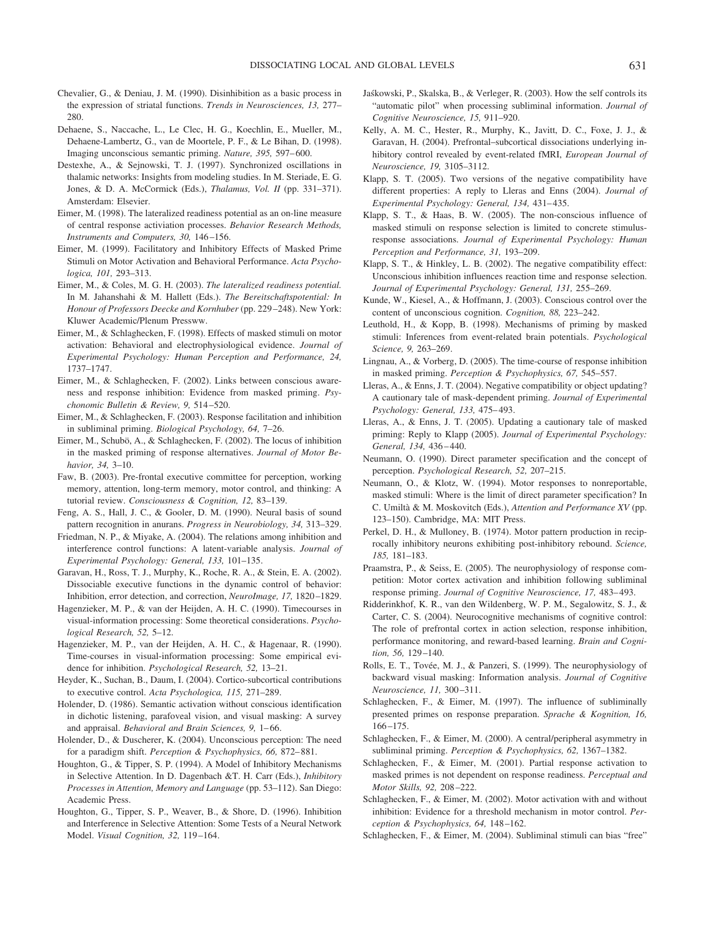- Chevalier, G., & Deniau, J. M. (1990). Disinhibition as a basic process in the expression of striatal functions. *Trends in Neurosciences, 13,* 277– 280.
- Dehaene, S., Naccache, L., Le Clec, H. G., Koechlin, E., Mueller, M., Dehaene-Lambertz, G., van de Moortele, P. F., & Le Bihan, D. (1998). Imaging unconscious semantic priming. *Nature, 395,* 597– 600.
- Destexhe, A., & Sejnowski, T. J. (1997). Synchronized oscillations in thalamic networks: Insights from modeling studies. In M. Steriade, E. G. Jones, & D. A. McCormick (Eds.), *Thalamus, Vol. II* (pp. 331–371). Amsterdam: Elsevier.
- Eimer, M. (1998). The lateralized readiness potential as an on-line measure of central response activiation processes. *Behavior Research Methods, Instruments and Computers, 30,* 146 –156.
- Eimer, M. (1999). Facilitatory and Inhibitory Effects of Masked Prime Stimuli on Motor Activation and Behavioral Performance. *Acta Psychologica, 101,* 293–313.
- Eimer, M., & Coles, M. G. H. (2003). *The lateralized readiness potential.* In M. Jahanshahi & M. Hallett (Eds.). *The Bereitschaftspotential: In Honour of Professors Deecke and Kornhuber* (pp. 229 –248). New York: Kluwer Academic/Plenum Pressww.
- Eimer, M., & Schlaghecken, F. (1998). Effects of masked stimuli on motor activation: Behavioral and electrophysiological evidence. *Journal of Experimental Psychology: Human Perception and Performance, 24,* 1737–1747.
- Eimer, M., & Schlaghecken, F. (2002). Links between conscious awareness and response inhibition: Evidence from masked priming. *Psychonomic Bulletin & Review, 9,* 514 –520.
- Eimer, M., & Schlaghecken, F. (2003). Response facilitation and inhibition in subliminal priming. *Biological Psychology, 64,* 7–26.
- Eimer, M., Schubö, A., & Schlaghecken, F. (2002). The locus of inhibition in the masked priming of response alternatives. *Journal of Motor Behavior, 34,* 3–10.
- Faw, B. (2003). Pre-frontal executive committee for perception, working memory, attention, long-term memory, motor control, and thinking: A tutorial review. *Consciousness & Cognition, 12,* 83–139.
- Feng, A. S., Hall, J. C., & Gooler, D. M. (1990). Neural basis of sound pattern recognition in anurans. *Progress in Neurobiology, 34,* 313–329.
- Friedman, N. P., & Miyake, A. (2004). The relations among inhibition and interference control functions: A latent-variable analysis. *Journal of Experimental Psychology: General, 133,* 101–135.
- Garavan, H., Ross, T. J., Murphy, K., Roche, R. A., & Stein, E. A. (2002). Dissociable executive functions in the dynamic control of behavior: Inhibition, error detection, and correction, *NeuroImage, 17,* 1820 –1829.
- Hagenzieker, M. P., & van der Heijden, A. H. C. (1990). Timecourses in visual-information processing: Some theoretical considerations. *Psychological Research, 52,* 5–12.
- Hagenzieker, M. P., van der Heijden, A. H. C., & Hagenaar, R. (1990). Time-courses in visual-information processing: Some empirical evidence for inhibition. *Psychological Research, 52,* 13–21.
- Heyder, K., Suchan, B., Daum, I. (2004). Cortico-subcortical contributions to executive control. *Acta Psychologica, 115,* 271–289.
- Holender, D. (1986). Semantic activation without conscious identification in dichotic listening, parafoveal vision, and visual masking: A survey and appraisal. *Behavioral and Brain Sciences, 9,* 1– 66.
- Holender, D., & Duscherer, K. (2004). Unconscious perception: The need for a paradigm shift. *Perception & Psychophysics, 66,* 872– 881.
- Houghton, G., & Tipper, S. P. (1994). A Model of Inhibitory Mechanisms in Selective Attention. In D. Dagenbach &T. H. Carr (Eds.), *Inhibitory Processes in Attention, Memory and Language* (pp. 53–112). San Diego: Academic Press.
- Houghton, G., Tipper, S. P., Weaver, B., & Shore, D. (1996). Inhibition and Interference in Selective Attention: Some Tests of a Neural Network Model. *Visual Cognition, 32,* 119 –164.
- Jaśkowski, P., Skalska, B., & Verleger, R. (2003). How the self controls its "automatic pilot" when processing subliminal information. *Journal of Cognitive Neuroscience, 15,* 911–920.
- Kelly, A. M. C., Hester, R., Murphy, K., Javitt, D. C., Foxe, J. J., & Garavan, H. (2004). Prefrontal–subcortical dissociations underlying inhibitory control revealed by event-related fMRI, *European Journal of Neuroscience, 19,* 3105–3112.
- Klapp, S. T. (2005). Two versions of the negative compatibility have different properties: A reply to Lleras and Enns (2004). *Journal of Experimental Psychology: General, 134,* 431– 435.
- Klapp, S. T., & Haas, B. W. (2005). The non-conscious influence of masked stimuli on response selection is limited to concrete stimulusresponse associations. *Journal of Experimental Psychology: Human Perception and Performance, 31,* 193–209.
- Klapp, S. T., & Hinkley, L. B. (2002). The negative compatibility effect: Unconscious inhibition influences reaction time and response selection. *Journal of Experimental Psychology: General, 131,* 255–269.
- Kunde, W., Kiesel, A., & Hoffmann, J. (2003). Conscious control over the content of unconscious cognition. *Cognition, 88,* 223–242.
- Leuthold, H., & Kopp, B. (1998). Mechanisms of priming by masked stimuli: Inferences from event-related brain potentials. *Psychological Science, 9,* 263–269.
- Lingnau, A., & Vorberg, D. (2005). The time-course of response inhibition in masked priming. *Perception & Psychophysics, 67,* 545–557.
- Lleras, A., & Enns, J. T. (2004). Negative compatibility or object updating? A cautionary tale of mask-dependent priming. *Journal of Experimental Psychology: General, 133,* 475– 493.
- Lleras, A., & Enns, J. T. (2005). Updating a cautionary tale of masked priming: Reply to Klapp (2005). *Journal of Experimental Psychology: General, 134,* 436 – 440.
- Neumann, O. (1990). Direct parameter specification and the concept of perception. *Psychological Research, 52,* 207–215.
- Neumann, O., & Klotz, W. (1994). Motor responses to nonreportable, masked stimuli: Where is the limit of direct parameter specification? In C. Umilta` & M. Moskovitch (Eds.), *Attention and Performance XV* (pp. 123–150). Cambridge, MA: MIT Press.
- Perkel, D. H., & Mulloney, B. (1974). Motor pattern production in reciprocally inhibitory neurons exhibiting post-inhibitory rebound. *Science, 185,* 181–183.
- Praamstra, P., & Seiss, E. (2005). The neurophysiology of response competition: Motor cortex activation and inhibition following subliminal response priming. Journal of Cognitive Neuroscience, 17, 483-493.
- Ridderinkhof, K. R., van den Wildenberg, W. P. M., Segalowitz, S. J., & Carter, C. S. (2004). Neurocognitive mechanisms of cognitive control: The role of prefrontal cortex in action selection, response inhibition, performance monitoring, and reward-based learning. *Brain and Cognition, 56,* 129 –140.
- Rolls, E. T., Tovée, M. J., & Panzeri, S. (1999). The neurophysiology of backward visual masking: Information analysis. *Journal of Cognitive Neuroscience, 11,* 300 –311.
- Schlaghecken, F., & Eimer, M. (1997). The influence of subliminally presented primes on response preparation. *Sprache & Kognition, 16,* 166 –175.
- Schlaghecken, F., & Eimer, M. (2000). A central/peripheral asymmetry in subliminal priming. *Perception & Psychophysics, 62,* 1367–1382.
- Schlaghecken, F., & Eimer, M. (2001). Partial response activation to masked primes is not dependent on response readiness. *Perceptual and Motor Skills, 92,* 208 –222.
- Schlaghecken, F., & Eimer, M. (2002). Motor activation with and without inhibition: Evidence for a threshold mechanism in motor control. *Perception & Psychophysics, 64,* 148 –162.
- Schlaghecken, F., & Eimer, M. (2004). Subliminal stimuli can bias "free"